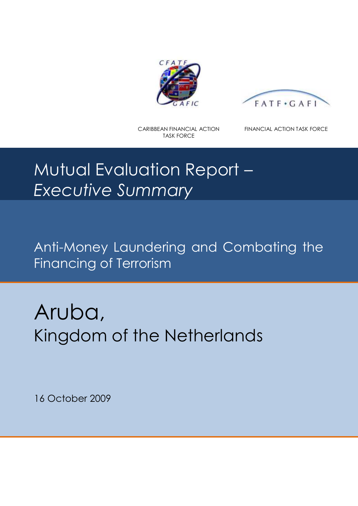



CARIBBEAN FINANCIAL ACTION TASK FORCE

FINANCIAL ACTION TASK FORCE

# Mutual Evaluation Report – *Executive Summary*

Anti-Money Laundering and Combating the Financing of Terrorism

Aruba, Kingdom of the Netherlands

16 October 2009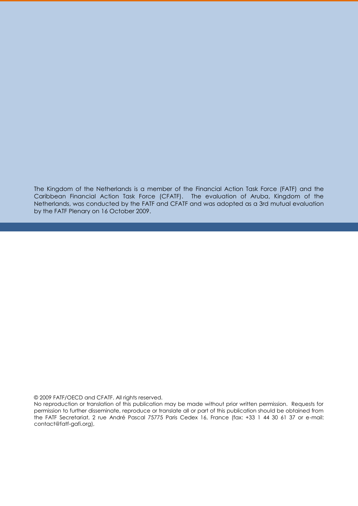The Kingdom of the Netherlands is a member of the Financial Action Task Force (FATF) and the Caribbean Financial Action Task Force (CFATF). The evaluation of Aruba, Kingdom of the Netherlands, was conducted by the FATF and CFATF and was adopted as a 3rd mutual evaluation by the FATF Plenary on 16 October 2009.

© 2009 FATF/OECD and CFATF. All rights reserved.

No reproduction or translation of this publication may be made without prior written permission. Requests for permission to further disseminate, reproduce or translate all or part of this publication should be obtained from the FATF Secretariat, 2 rue André Pascal 75775 Paris Cedex 16, France (fax: +33 1 44 30 61 37 or e-mail: contact@fatf-gafi.org),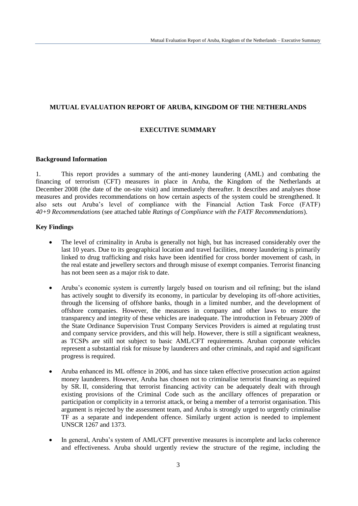## **MUTUAL EVALUATION REPORT OF ARUBA, KINGDOM OF THE NETHERLANDS**

## **EXECUTIVE SUMMARY**

#### **Background Information**

1. This report provides a summary of the anti-money laundering (AML) and combating the financing of terrorism (CFT) measures in place in Aruba, the Kingdom of the Netherlands at December 2008 (the date of the on-site visit) and immediately thereafter. It describes and analyses those measures and provides recommendations on how certain aspects of the system could be strengthened. It also sets out Aruba's level of compliance with the Financial Action Task Force (FATF) *40+9 Recommendations* (see attached table *Ratings of Compliance with the FATF Recommendations*).

# **Key Findings**

- The level of criminality in Aruba is generally not high, but has increased considerably over the last 10 years. Due to its geographical location and travel facilities, money laundering is primarily linked to drug trafficking and risks have been identified for cross border movement of cash, in the real estate and jewellery sectors and through misuse of exempt companies. Terrorist financing has not been seen as a major risk to date.
- Aruba's economic system is currently largely based on tourism and oil refining; but the island has actively sought to diversify its economy, in particular by developing its off-shore activities, through the licensing of offshore banks, though in a limited number, and the development of offshore companies. However, the measures in company and other laws to ensure the transparency and integrity of these vehicles are inadequate. The introduction in February 2009 of the State Ordinance Supervision Trust Company Services Providers is aimed at regulating trust and company service providers, and this will help. However, there is still a significant weakness, as TCSPs are still not subject to basic AML/CFT requirements. Aruban corporate vehicles represent a substantial risk for misuse by launderers and other criminals, and rapid and significant progress is required.
- Aruba enhanced its ML offence in 2006, and has since taken effective prosecution action against money launderers. However, Aruba has chosen not to criminalise terrorist financing as required by SR. II, considering that terrorist financing activity can be adequately dealt with through existing provisions of the Criminal Code such as the ancillary offences of preparation or participation or complicity in a terrorist attack, or being a member of a terrorist organisation. This argument is rejected by the assessment team, and Aruba is strongly urged to urgently criminalise TF as a separate and independent offence. Similarly urgent action is needed to implement UNSCR 1267 and 1373.
- In general, Aruba's system of AML/CFT preventive measures is incomplete and lacks coherence and effectiveness. Aruba should urgently review the structure of the regime, including the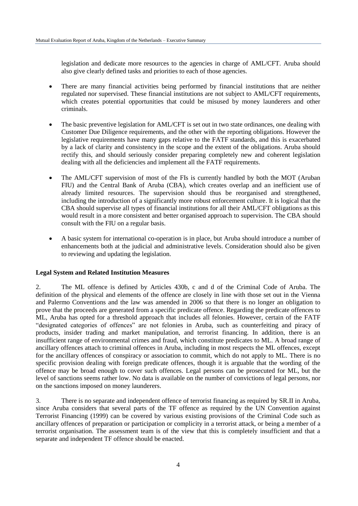legislation and dedicate more resources to the agencies in charge of AML/CFT. Aruba should also give clearly defined tasks and priorities to each of those agencies.

- There are many financial activities being performed by financial institutions that are neither regulated nor supervised. These financial institutions are not subject to AML/CFT requirements, which creates potential opportunities that could be misused by money launderers and other criminals.
- The basic preventive legislation for AML/CFT is set out in two state ordinances, one dealing with Customer Due Diligence requirements, and the other with the reporting obligations. However the legislative requirements have many gaps relative to the FATF standards, and this is exacerbated by a lack of clarity and consistency in the scope and the extent of the obligations. Aruba should rectify this, and should seriously consider preparing completely new and coherent legislation dealing with all the deficiencies and implement all the FATF requirements.
- The AML/CFT supervision of most of the FIs is currently handled by both the MOT (Aruban FIU) and the Central Bank of Aruba (CBA), which creates overlap and an inefficient use of already limited resources. The supervision should thus be reorganised and strengthened, including the introduction of a significantly more robust enforcement culture. It is logical that the CBA should supervise all types of financial institutions for all their AML/CFT obligations as this would result in a more consistent and better organised approach to supervision. The CBA should consult with the FIU on a regular basis.
- A basic system for international co-operation is in place, but Aruba should introduce a number of enhancements both at the judicial and administrative levels. Consideration should also be given to reviewing and updating the legislation.

## **Legal System and Related Institution Measures**

2. The ML offence is defined by Articles 430b, c and d of the Criminal Code of Aruba. The definition of the physical and elements of the offence are closely in line with those set out in the Vienna and Palermo Conventions and the law was amended in 2006 so that there is no longer an obligation to prove that the proceeds are generated from a specific predicate offence. Regarding the predicate offences to ML, Aruba has opted for a threshold approach that includes all felonies. However, certain of the FATF "designated categories of offences" are not felonies in Aruba, such as counterfeiting and piracy of products, insider trading and market manipulation, and terrorist financing. In addition, there is an insufficient range of environmental crimes and fraud, which constitute predicates to ML. A broad range of ancillary offences attach to criminal offences in Aruba, including in most respects the ML offences, except for the ancillary offences of conspiracy or association to commit, which do not apply to ML. There is no specific provision dealing with foreign predicate offences, though it is arguable that the wording of the offence may be broad enough to cover such offences. Legal persons can be prosecuted for ML, but the level of sanctions seems rather low. No data is available on the number of convictions of legal persons, nor on the sanctions imposed on money launderers.

3. There is no separate and independent offence of terrorist financing as required by SR.II in Aruba, since Aruba considers that several parts of the TF offence as required by the UN Convention against Terrorist Financing (1999) can be covered by various existing provisions of the Criminal Code such as ancillary offences of preparation or participation or complicity in a terrorist attack, or being a member of a terrorist organisation. The assessment team is of the view that this is completely insufficient and that a separate and independent TF offence should be enacted.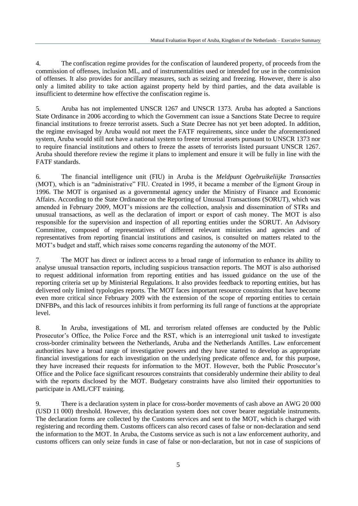4. The confiscation regime provides for the confiscation of laundered property, of proceeds from the commission of offenses, inclusion ML, and of instrumentalities used or intended for use in the commission of offenses. It also provides for ancillary measures, such as seizing and freezing. However, there is also only a limited ability to take action against property held by third parties, and the data available is insufficient to determine how effective the confiscation regime is.

5. Aruba has not implemented UNSCR 1267 and UNSCR 1373. Aruba has adopted a Sanctions State Ordinance in 2006 according to which the Government can issue a Sanctions State Decree to require financial institutions to freeze terrorist assets. Such a State Decree has not yet been adopted. In addition, the regime envisaged by Aruba would not meet the FATF requirements, since under the aforementioned system, Aruba would still not have a national system to freeze terrorist assets pursuant to UNSCR 1373 nor to require financial institutions and others to freeze the assets of terrorists listed pursuant UNSCR 1267. Aruba should therefore review the regime it plans to implement and ensure it will be fully in line with the FATF standards.

6. The financial intelligence unit (FIU) in Aruba is the *Meldpunt Ogebruikeliijke Transacties* (MOT), which is an "administrative" FIU. Created in 1995, it became a member of the Egmont Group in 1996. The MOT is organised as a governmental agency under the Ministry of Finance and Economic Affairs. According to the State Ordinance on the Reporting of Unusual Transactions (SORUT), which was amended in February 2009, MOT's missions are the collection, analysis and dissemination of STRs and unusual transactions, as well as the declaration of import or export of cash money. The MOT is also responsible for the supervision and inspection of all reporting entities under the SORUT. An Advisory Committee, composed of representatives of different relevant ministries and agencies and of representatives from reporting financial institutions and casinos, is consulted on matters related to the MOT's budget and staff, which raises some concerns regarding the autonomy of the MOT.

7. The MOT has direct or indirect access to a broad range of information to enhance its ability to analyse unusual transaction reports, including suspicious transaction reports. The MOT is also authorised to request additional information from reporting entities and has issued guidance on the use of the reporting criteria set up by Ministerial Regulations. It also provides feedback to reporting entities, but has delivered only limited typologies reports. The MOT faces important resource constraints that have become even more critical since February 2009 with the extension of the scope of reporting entities to certain DNFBPs, and this lack of resources inhibits it from performing its full range of functions at the appropriate level.

8. In Aruba, investigations of ML and terrorism related offenses are conducted by the Public Prosecutor's Office, the Police Force and the RST, which is an interregional unit tasked to investigate cross-border criminality between the Netherlands, Aruba and the Netherlands Antilles. Law enforcement authorities have a broad range of investigative powers and they have started to develop as appropriate financial investigations for each investigation on the underlying predicate offence and, for this purpose, they have increased their requests for information to the MOT. However, both the Public Prosecutor's Office and the Police face significant resources constraints that considerably undermine their ability to deal with the reports disclosed by the MOT. Budgetary constraints have also limited their opportunities to participate in AML/CFT training.

9. There is a declaration system in place for cross-border movements of cash above an AWG 20 000 (USD 11 000) threshold. However, this declaration system does not cover bearer negotiable instruments. The declaration forms are collected by the Customs services and sent to the MOT, which is charged with registering and recording them. Customs officers can also record cases of false or non-declaration and send the information to the MOT. In Aruba, the Customs service as such is not a law enforcement authority, and customs officers can only seize funds in case of false or non-declaration, but not in case of suspicions of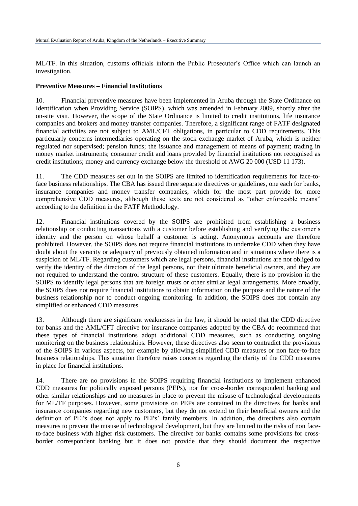ML/TF. In this situation, customs officials inform the Public Prosecutor's Office which can launch an investigation.

#### **Preventive Measures – Financial Institutions**

10. Financial preventive measures have been implemented in Aruba through the State Ordinance on Identification when Providing Service (SOIPS), which was amended in February 2009, shortly after the on-site visit. However, the scope of the State Ordinance is limited to credit institutions, life insurance companies and brokers and money transfer companies. Therefore, a significant range of FATF designated financial activities are not subject to AML/CFT obligations, in particular to CDD requirements. This particularly concerns intermediaries operating on the stock exchange market of Aruba, which is neither regulated nor supervised; pension funds; the issuance and management of means of payment; trading in money market instruments; consumer credit and loans provided by financial institutions not recognised as credit institutions; money and currency exchange below the threshold of AWG 20 000 (USD 11 173).

11. The CDD measures set out in the SOIPS are limited to identification requirements for face-toface business relationships. The CBA has issued three separate directives or guidelines, one each for banks, insurance companies and money transfer companies, which for the most part provide for more comprehensive CDD measures, although these texts are not considered as "other enforceable means" according to the definition in the FATF Methodology.

12. Financial institutions covered by the SOIPS are prohibited from establishing a business relationship or conducting transactions with a customer before establishing and verifying the customer's identity and the person on whose behalf a customer is acting. Anonymous accounts are therefore prohibited. However, the SOIPS does not require financial institutions to undertake CDD when they have doubt about the veracity or adequacy of previously obtained information and in situations where there is a suspicion of ML/TF. Regarding customers which are legal persons, financial institutions are not obliged to verify the identity of the directors of the legal persons, nor their ultimate beneficial owners, and they are not required to understand the control structure of these customers. Equally, there is no provision in the SOIPS to identify legal persons that are foreign trusts or other similar legal arrangements. More broadly, the SOIPS does not require financial institutions to obtain information on the purpose and the nature of the business relationship nor to conduct ongoing monitoring. In addition, the SOIPS does not contain any simplified or enhanced CDD measures.

13. Although there are significant weaknesses in the law, it should be noted that the CDD directive for banks and the AML/CFT directive for insurance companies adopted by the CBA do recommend that these types of financial institutions adopt additional CDD measures, such as conducting ongoing monitoring on the business relationships. However, these directives also seem to contradict the provisions of the SOIPS in various aspects, for example by allowing simplified CDD measures or non face-to-face business relationships. This situation therefore raises concerns regarding the clarity of the CDD measures in place for financial institutions.

14. There are no provisions in the SOIPS requiring financial institutions to implement enhanced CDD measures for politically exposed persons (PEPs), nor for cross-border correspondent banking and other similar relationships and no measures in place to prevent the misuse of technological developments for ML/TF purposes. However, some provisions on PEPs are contained in the directives for banks and insurance companies regarding new customers, but they do not extend to their beneficial owners and the definition of PEPs does not apply to PEPs' family members. In addition, the directives also contain measures to prevent the misuse of technological development, but they are limited to the risks of non faceto-face business with higher risk customers. The directive for banks contains some provisions for crossborder correspondent banking but it does not provide that they should document the respective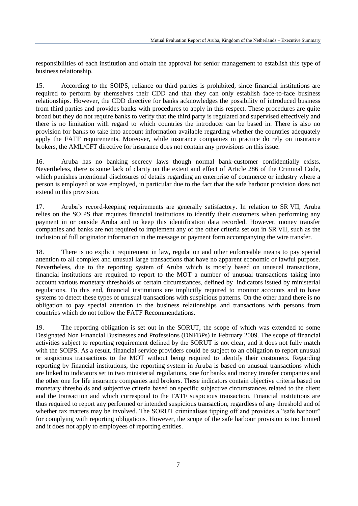responsibilities of each institution and obtain the approval for senior management to establish this type of business relationship.

15. According to the SOIPS, reliance on third parties is prohibited, since financial institutions are required to perform by themselves their CDD and that they can only establish face-to-face business relationships. However, the CDD directive for banks acknowledges the possibility of introduced business from third parties and provides banks with procedures to apply in this respect. These procedures are quite broad but they do not require banks to verify that the third party is regulated and supervised effectively and there is no limitation with regard to which countries the introducer can be based in. There is also no provision for banks to take into account information available regarding whether the countries adequately apply the FATF requirements. Moreover, while insurance companies in practice do rely on insurance brokers, the AML/CFT directive for insurance does not contain any provisions on this issue.

16. Aruba has no banking secrecy laws though normal bank-customer confidentially exists. Nevertheless, there is some lack of clarity on the extent and effect of Article 286 of the Criminal Code, which punishes intentional disclosures of details regarding an enterprise of commerce or industry where a person is employed or was employed, in particular due to the fact that the safe harbour provision does not extend to this provision.

17. Aruba's record-keeping requirements are generally satisfactory. In relation to SR VII, Aruba relies on the SOIPS that requires financial institutions to identify their customers when performing any payment in or outside Aruba and to keep this identification data recorded. However, money transfer companies and banks are not required to implement any of the other criteria set out in SR VII, such as the inclusion of full originator information in the message or payment form accompanying the wire transfer.

18. There is no explicit requirement in law, regulation and other enforceable means to pay special attention to all complex and unusual large transactions that have no apparent economic or lawful purpose. Nevertheless, due to the reporting system of Aruba which is mostly based on unusual transactions, financial institutions are required to report to the MOT a number of unusual transactions taking into account various monetary thresholds or certain circumstances, defined by indicators issued by ministerial regulations. To this end, financial institutions are implicitly required to monitor accounts and to have systems to detect these types of unusual transactions with suspicious patterns. On the other hand there is no obligation to pay special attention to the business relationships and transactions with persons from countries which do not follow the FATF Recommendations.

19. The reporting obligation is set out in the SORUT, the scope of which was extended to some Designated Non Financial Businesses and Professions (DNFBPs) in February 2009. The scope of financial activities subject to reporting requirement defined by the SORUT is not clear, and it does not fully match with the SOIPS. As a result, financial service providers could be subject to an obligation to report unusual or suspicious transactions to the MOT without being required to identify their customers. Regarding reporting by financial institutions, the reporting system in Aruba is based on unusual transactions which are linked to indicators set in two ministerial regulations, one for banks and money transfer companies and the other one for life insurance companies and brokers. These indicators contain objective criteria based on monetary thresholds and subjective criteria based on specific subjective circumstances related to the client and the transaction and which correspond to the FATF suspicious transaction. Financial institutions are thus required to report any performed or intended suspicious transaction, regardless of any threshold and of whether tax matters may be involved. The SORUT criminalises tipping off and provides a "safe harbour" for complying with reporting obligations. However, the scope of the safe harbour provision is too limited and it does not apply to employees of reporting entities.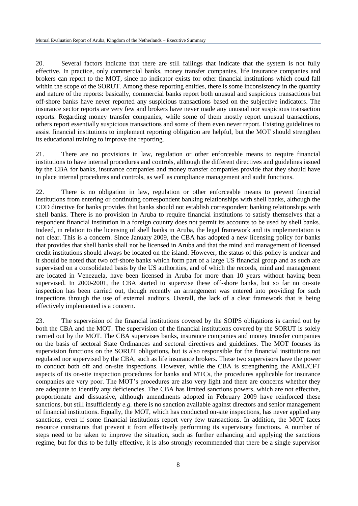20. Several factors indicate that there are still failings that indicate that the system is not fully effective. In practice, only commercial banks, money transfer companies, life insurance companies and brokers can report to the MOT, since no indicator exists for other financial institutions which could fall within the scope of the SORUT. Among these reporting entities, there is some inconsistency in the quantity and nature of the reports: basically, commercial banks report both unusual and suspicious transactions but off-shore banks have never reported any suspicious transactions based on the subjective indicators. The insurance sector reports are very few and brokers have never made any unusual nor suspicious transaction reports. Regarding money transfer companies, while some of them mostly report unusual transactions, others report essentially suspicious transactions and some of them even never report. Existing guidelines to assist financial institutions to implement reporting obligation are helpful, but the MOT should strengthen its educational training to improve the reporting.

21. There are no provisions in law, regulation or other enforceable means to require financial institutions to have internal procedures and controls, although the different directives and guidelines issued by the CBA for banks, insurance companies and money transfer companies provide that they should have in place internal procedures and controls, as well as compliance management and audit functions.

22. There is no obligation in law, regulation or other enforceable means to prevent financial institutions from entering or continuing correspondent banking relationships with shell banks, although the CDD directive for banks provides that banks should not establish correspondent banking relationships with shell banks. There is no provision in Aruba to require financial institutions to satisfy themselves that a respondent financial institution in a foreign country does not permit its accounts to be used by shell banks. Indeed, in relation to the licensing of shell banks in Aruba, the legal framework and its implementation is not clear. This is a concern. Since January 2009, the CBA has adopted a new licensing policy for banks that provides that shell banks shall not be licensed in Aruba and that the mind and management of licensed credit institutions should always be located on the island. However, the status of this policy is unclear and it should be noted that two off-shore banks which form part of a large US financial group and as such are supervised on a consolidated basis by the US authorities, and of which the records, mind and management are located in Venezuela, have been licensed in Aruba for more than 10 years without having been supervised. In 2000-2001, the CBA started to supervise these off-shore banks, but so far no on-site inspection has been carried out, though recently an arrangement was entered into providing for such inspections through the use of external auditors. Overall, the lack of a clear framework that is being effectively implemented is a concern.

23. The supervision of the financial institutions covered by the SOIPS obligations is carried out by both the CBA and the MOT. The supervision of the financial institutions covered by the SORUT is solely carried out by the MOT. The CBA supervises banks, insurance companies and money transfer companies on the basis of sectoral State Ordinances and sectoral directives and guidelines. The MOT focuses its supervision functions on the SORUT obligations, but is also responsible for the financial institutions not regulated nor supervised by the CBA, such as life insurance brokers. These two supervisors have the power to conduct both off and on-site inspections. However, while the CBA is strengthening the AML/CFT aspects of its on-site inspection procedures for banks and MTCs, the procedures applicable for insurance companies are very poor. The MOT's procedures are also very light and there are concerns whether they are adequate to identify any deficiencies. The CBA has limited sanctions powers, which are not effective, proportionate and dissuasive, although amendments adopted in February 2009 have reinforced these sanctions, but still insufficiently *e.g.* there is no sanction available against directors and senior management of financial institutions. Equally, the MOT, which has conducted on-site inspections, has never applied any sanctions, even if some financial institutions report very few transactions. In addition, the MOT faces resource constraints that prevent it from effectively performing its supervisory functions. A number of steps need to be taken to improve the situation, such as further enhancing and applying the sanctions regime, but for this to be fully effective, it is also strongly recommended that there be a single supervisor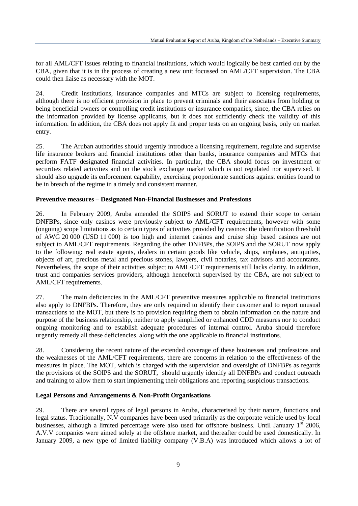for all AML/CFT issues relating to financial institutions, which would logically be best carried out by the CBA, given that it is in the process of creating a new unit focussed on AML/CFT supervision. The CBA could then liaise as necessary with the MOT.

24. Credit institutions, insurance companies and MTCs are subject to licensing requirements, although there is no efficient provision in place to prevent criminals and their associates from holding or being beneficial owners or controlling credit institutions or insurance companies, since, the CBA relies on the information provided by license applicants, but it does not sufficiently check the validity of this information. In addition, the CBA does not apply fit and proper tests on an ongoing basis, only on market entry.

25. The Aruban authorities should urgently introduce a licensing requirement, regulate and supervise life insurance brokers and financial institutions other than banks, insurance companies and MTCs that perform FATF designated financial activities. In particular, the CBA should focus on investment or securities related activities and on the stock exchange market which is not regulated nor supervised. It should also upgrade its enforcement capability, exercising proportionate sanctions against entities found to be in breach of the regime in a timely and consistent manner.

## **Preventive measures – Designated Non-Financial Businesses and Professions**

26. In February 2009, Aruba amended the SOIPS and SORUT to extend their scope to certain DNFBPs, since only casinos were previously subject to AML/CFT requirements, however with some (ongoing) scope limitations as to certain types of activities provided by casinos: the identification threshold of AWG 20 000 (USD 11 000) is too high and internet casinos and cruise ship based casinos are not subject to AML/CFT requirements. Regarding the other DNFBPs, the SOIPS and the SORUT now apply to the following: real estate agents, dealers in certain goods like vehicle, ships, airplanes, antiquities, objects of art, precious metal and precious stones, lawyers, civil notaries, tax advisors and accountants. Nevertheless, the scope of their activities subject to AML/CFT requirements still lacks clarity. In addition, trust and companies services providers, although henceforth supervised by the CBA, are not subject to AML/CFT requirements.

27. The main deficiencies in the AML/CFT preventive measures applicable to financial institutions also apply to DNFBPs. Therefore, they are only required to identify their customer and to report unusual transactions to the MOT, but there is no provision requiring them to obtain information on the nature and purpose of the business relationship, neither to apply simplified or enhanced CDD measures nor to conduct ongoing monitoring and to establish adequate procedures of internal control. Aruba should therefore urgently remedy all these deficiencies, along with the one applicable to financial institutions.

28. Considering the recent nature of the extended coverage of these businesses and professions and the weaknesses of the AML/CFT requirements, there are concerns in relation to the effectiveness of the measures in place. The MOT, which is charged with the supervision and oversight of DNFBPs as regards the provisions of the SOIPS and the SORUT, should urgently identify all DNFBPs and conduct outreach and training to allow them to start implementing their obligations and reporting suspicious transactions.

#### **Legal Persons and Arrangements & Non-Profit Organisations**

29. There are several types of legal persons in Aruba, characterised by their nature, functions and legal status. Traditionally, N.V companies have been used primarily as the corporate vehicle used by local businesses, although a limited percentage were also used for offshore business. Until January 1<sup>st</sup> 2006, A.V.V companies were aimed solely at the offshore market, and thereafter could be used domestically. In January 2009, a new type of limited liability company (V.B.A) was introduced which allows a lot of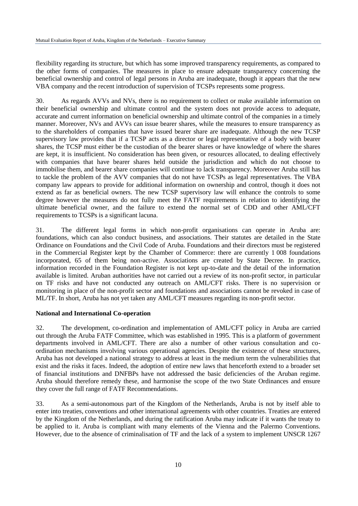flexibility regarding its structure, but which has some improved transparency requirements, as compared to the other forms of companies. The measures in place to ensure adequate transparency concerning the beneficial ownership and control of legal persons in Aruba are inadequate, though it appears that the new VBA company and the recent introduction of supervision of TCSPs represents some progress.

30. As regards AVVs and NVs, there is no requirement to collect or make available information on their beneficial ownership and ultimate control and the system does not provide access to adequate, accurate and current information on beneficial ownership and ultimate control of the companies in a timely manner. Moreover, NVs and AVVs can issue bearer shares, while the measures to ensure transparency as to the shareholders of companies that have issued bearer share are inadequate. Although the new TCSP supervisory law provides that if a TCSP acts as a director or legal representative of a body with bearer shares, the TCSP must either be the custodian of the bearer shares or have knowledge of where the shares are kept, it is insufficient. No consideration has been given, or resources allocated, to dealing effectively with companies that have bearer shares held outside the jurisdiction and which do not choose to immobilise them, and bearer share companies will continue to lack transparency. Moreover Aruba still has to tackle the problem of the AVV companies that do not have TCSPs as legal representatives. The VBA company law appears to provide for additional information on ownership and control, though it does not extend as far as beneficial owners. The new TCSP supervisory law will enhance the controls to some degree however the measures do not fully meet the FATF requirements in relation to identifying the ultimate beneficial owner, and the failure to extend the normal set of CDD and other AML/CFT requirements to TCSPs is a significant lacuna.

31. The different legal forms in which non-profit organisations can operate in Aruba are: foundations, which can also conduct business, and associations. Their statutes are detailed in the State Ordinance on Foundations and the Civil Code of Aruba. Foundations and their directors must be registered in the Commercial Register kept by the Chamber of Commerce: there are currently 1 008 foundations incorporated, 65 of them being non-active. Associations are created by State Decree. In practice, information recorded in the Foundation Register is not kept up-to-date and the detail of the information available is limited. Aruban authorities have not carried out a review of its non-profit sector, in particular on TF risks and have not conducted any outreach on AML/CFT risks. There is no supervision or monitoring in place of the non-profit sector and foundations and associations cannot be revoked in case of ML/TF. In short, Aruba has not yet taken any AML/CFT measures regarding its non-profit sector.

## **National and International Co-operation**

32. The development, co-ordination and implementation of AML/CFT policy in Aruba are carried out through the Aruba FATF Committee, which was established in 1995. This is a platform of government departments involved in AML/CFT. There are also a number of other various consultation and coordination mechanisms involving various operational agencies. Despite the existence of these structures, Aruba has not developed a national strategy to address at least in the medium term the vulnerabilities that exist and the risks it faces. Indeed, the adoption of entire new laws that henceforth extend to a broader set of financial institutions and DNFBPs have not addressed the basic deficiencies of the Aruban regime. Aruba should therefore remedy these, and harmonise the scope of the two State Ordinances and ensure they cover the full range of FATF Recommendations.

33. As a semi-autonomous part of the Kingdom of the Netherlands, Aruba is not by itself able to enter into treaties, conventions and other international agreements with other countries. Treaties are entered by the Kingdom of the Netherlands, and during the ratification Aruba may indicate if it wants the treaty to be applied to it. Aruba is compliant with many elements of the Vienna and the Palermo Conventions. However, due to the absence of criminalisation of TF and the lack of a system to implement UNSCR 1267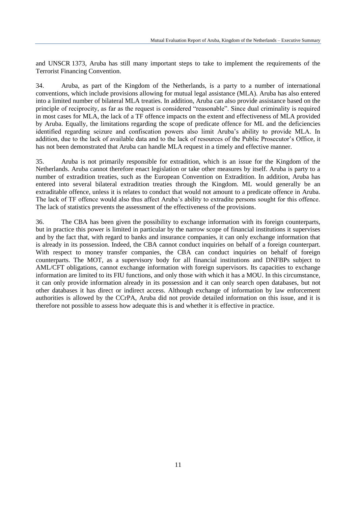and UNSCR 1373, Aruba has still many important steps to take to implement the requirements of the Terrorist Financing Convention.

34. Aruba, as part of the Kingdom of the Netherlands, is a party to a number of international conventions, which include provisions allowing for mutual legal assistance (MLA). Aruba has also entered into a limited number of bilateral MLA treaties. In addition, Aruba can also provide assistance based on the principle of reciprocity, as far as the request is considered "reasonable". Since dual criminality is required in most cases for MLA, the lack of a TF offence impacts on the extent and effectiveness of MLA provided by Aruba. Equally, the limitations regarding the scope of predicate offence for ML and the deficiencies identified regarding seizure and confiscation powers also limit Aruba's ability to provide MLA. In addition, due to the lack of available data and to the lack of resources of the Public Prosecutor's Office, it has not been demonstrated that Aruba can handle MLA request in a timely and effective manner.

35. Aruba is not primarily responsible for extradition, which is an issue for the Kingdom of the Netherlands. Aruba cannot therefore enact legislation or take other measures by itself. Aruba is party to a number of extradition treaties, such as the European Convention on Extradition. In addition, Aruba has entered into several bilateral extradition treaties through the Kingdom. ML would generally be an extraditable offence, unless it is relates to conduct that would not amount to a predicate offence in Aruba. The lack of TF offence would also thus affect Aruba's ability to extradite persons sought for this offence. The lack of statistics prevents the assessment of the effectiveness of the provisions.

36. The CBA has been given the possibility to exchange information with its foreign counterparts, but in practice this power is limited in particular by the narrow scope of financial institutions it supervises and by the fact that, with regard to banks and insurance companies, it can only exchange information that is already in its possession. Indeed, the CBA cannot conduct inquiries on behalf of a foreign counterpart. With respect to money transfer companies, the CBA can conduct inquiries on behalf of foreign counterparts. The MOT, as a supervisory body for all financial institutions and DNFBPs subject to AML/CFT obligations, cannot exchange information with foreign supervisors. Its capacities to exchange information are limited to its FIU functions, and only those with which it has a MOU. In this circumstance, it can only provide information already in its possession and it can only search open databases, but not other databases it has direct or indirect access. Although exchange of information by law enforcement authorities is allowed by the CCrPA, Aruba did not provide detailed information on this issue, and it is therefore not possible to assess how adequate this is and whether it is effective in practice.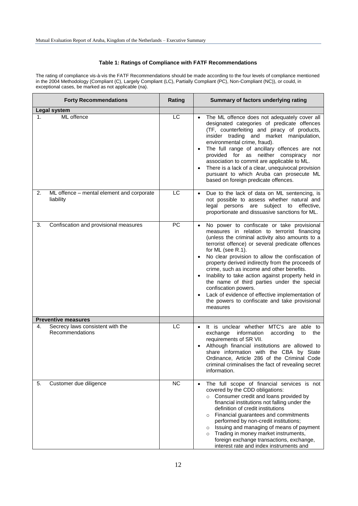## **Table 1: Ratings of Compliance with FATF Recommendations**

The rating of compliance vis-à-vis the FATF Recommendations should be made according to the four levels of compliance mentioned in the 2004 Methodology (Compliant (C), Largely Compliant (LC), Partially Compliant (PC), Non-Compliant (NC)), or could, in exceptional cases, be marked as not applicable (na).

| <b>Forty Recommendations</b>                                                            | Rating    | Summary of factors underlying rating                                                                                                                                                                                                                                                                                                                                                                                                                                                                                                                                                                                                                                      |
|-----------------------------------------------------------------------------------------|-----------|---------------------------------------------------------------------------------------------------------------------------------------------------------------------------------------------------------------------------------------------------------------------------------------------------------------------------------------------------------------------------------------------------------------------------------------------------------------------------------------------------------------------------------------------------------------------------------------------------------------------------------------------------------------------------|
| <b>Legal system</b>                                                                     |           |                                                                                                                                                                                                                                                                                                                                                                                                                                                                                                                                                                                                                                                                           |
| ML offence<br>1.                                                                        | LC        | The ML offence does not adequately cover all<br>designated categories of predicate offences<br>(TF, counterfeiting and piracy of products,<br>insider trading and market manipulation,<br>environmental crime, fraud).<br>The full range of ancillary offences are not<br>$\bullet$<br>provided for as neither conspiracy<br>nor<br>association to commit are applicable to ML.<br>There is a lack of a clear, unequivocal provision<br>$\bullet$<br>pursuant to which Aruba can prosecute ML<br>based on foreign predicate offences.                                                                                                                                     |
| 2.<br>ML offence - mental element and corporate<br>liability                            | LC        | Due to the lack of data on ML sentencing, is<br>$\bullet$<br>not possible to assess whether natural and<br>legal persons<br>are subject to effective,<br>proportionate and dissuasive sanctions for ML.                                                                                                                                                                                                                                                                                                                                                                                                                                                                   |
| Confiscation and provisional measures<br>3.                                             | <b>PC</b> | No power to confiscate or take provisional<br>$\bullet$<br>measures in relation to terrorist financing<br>(unless the criminal activity also amounts to a<br>terrorist offence) or several predicate offences<br>for ML (see R.1).<br>No clear provision to allow the confiscation of<br>$\bullet$<br>property derived indirectly from the proceeds of<br>crime, such as income and other benefits.<br>Inability to take action against property held in<br>$\bullet$<br>the name of third parties under the special<br>confiscation powers.<br>Lack of evidence of effective implementation of<br>$\bullet$<br>the powers to confiscate and take provisional<br>measures |
|                                                                                         |           |                                                                                                                                                                                                                                                                                                                                                                                                                                                                                                                                                                                                                                                                           |
| <b>Preventive measures</b><br>Secrecy laws consistent with the<br>4.<br>Recommendations | LC        | It is unclear whether MTC's are able to<br>$\bullet$<br>exchange<br>information<br>according<br>the<br>to<br>requirements of SR VII.<br>Although financial institutions are allowed to<br>$\bullet$<br>share information with the CBA by State<br>Ordinance, Article 286 of the Criminal Code<br>criminal criminalises the fact of revealing secret<br>information.                                                                                                                                                                                                                                                                                                       |
| Customer due diligence<br>5.                                                            | NC        | The full scope of financial services is not<br>$\bullet$<br>covered by the CDD obligations:<br>o Consumer credit and loans provided by<br>financial institutions not falling under the<br>definition of credit institutions<br>Financial guarantees and commitments<br>$\circ$<br>performed by non-credit institutions;<br>Issuing and managing of means of payment<br>$\circ$<br>Trading in money market instruments,<br>$\circ$<br>foreign exchange transactions, exchange,<br>interest rate and index instruments and                                                                                                                                                  |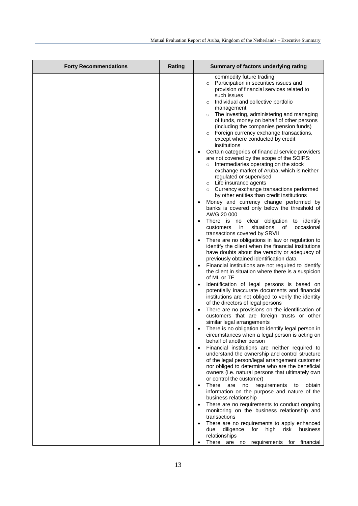| <b>Forty Recommendations</b> | Rating | Summary of factors underlying rating                                                                                                                                                                                                                                                                                                                                                                                                                                                                                                                                                                                                                                                                                                                                                                                                                                                                                                                                                                                                                                                                                                                                                                                                                                                                                                                                                                                                                                                                                                                                                                                                                                                                                                                                                                                                   |
|------------------------------|--------|----------------------------------------------------------------------------------------------------------------------------------------------------------------------------------------------------------------------------------------------------------------------------------------------------------------------------------------------------------------------------------------------------------------------------------------------------------------------------------------------------------------------------------------------------------------------------------------------------------------------------------------------------------------------------------------------------------------------------------------------------------------------------------------------------------------------------------------------------------------------------------------------------------------------------------------------------------------------------------------------------------------------------------------------------------------------------------------------------------------------------------------------------------------------------------------------------------------------------------------------------------------------------------------------------------------------------------------------------------------------------------------------------------------------------------------------------------------------------------------------------------------------------------------------------------------------------------------------------------------------------------------------------------------------------------------------------------------------------------------------------------------------------------------------------------------------------------------|
|                              |        | commodity future trading<br>Participation in securities issues and<br>$\circ$<br>provision of financial services related to<br>such issues<br>Individual and collective portfolio<br>$\circ$<br>management<br>The investing, administering and managing<br>$\circ$<br>of funds, money on behalf of other persons<br>(including the companies pension funds)<br>Foreign currency exchange transactions,<br>$\circ$<br>except where conducted by credit<br>institutions<br>Certain categories of financial service providers<br>are not covered by the scope of the SOIPS:<br>Intermediaries operating on the stock<br>$\circ$<br>exchange market of Aruba, which is neither<br>regulated or supervised<br>o Life insurance agents<br>o Currency exchange transactions performed<br>by other entities than credit institutions<br>Money and currency change performed by<br>banks is covered only below the threshold of<br>AWG 20 000<br>There is no clear obligation to identify<br>$\bullet$<br>situations<br>of<br>occasional<br>customers<br>in in<br>transactions covered by SRVII<br>There are no obligations in law or regulation to<br>identify the client when the financial institutions<br>have doubts about the veracity or adequacy of<br>previously obtained identification data<br>Financial institutions are not required to identify<br>the client in situation where there is a suspicion<br>of ML or TF<br>Identification of legal persons is based on<br>$\bullet$<br>potentially inaccurate documents and financial<br>institutions are not obliged to verify the identity<br>of the directors of legal persons<br>There are no provisions on the identification of<br>$\bullet$<br>customers that are foreign trusts or other<br>similar legal arrangements<br>There is no obligation to identify legal person in |
|                              |        | circumstances when a legal person is acting on<br>behalf of another person<br>Financial institutions are neither required to<br>$\bullet$                                                                                                                                                                                                                                                                                                                                                                                                                                                                                                                                                                                                                                                                                                                                                                                                                                                                                                                                                                                                                                                                                                                                                                                                                                                                                                                                                                                                                                                                                                                                                                                                                                                                                              |
|                              |        | understand the ownership and control structure<br>of the legal person/legal arrangement customer<br>nor obliged to determine who are the beneficial<br>owners (i.e. natural persons that ultimately own<br>or control the customer)                                                                                                                                                                                                                                                                                                                                                                                                                                                                                                                                                                                                                                                                                                                                                                                                                                                                                                                                                                                                                                                                                                                                                                                                                                                                                                                                                                                                                                                                                                                                                                                                    |
|                              |        | There<br>are<br>no<br>requirements<br>obtain<br>to<br>$\bullet$<br>information on the purpose and nature of the<br>business relationship<br>There are no requirements to conduct ongoing<br>$\bullet$                                                                                                                                                                                                                                                                                                                                                                                                                                                                                                                                                                                                                                                                                                                                                                                                                                                                                                                                                                                                                                                                                                                                                                                                                                                                                                                                                                                                                                                                                                                                                                                                                                  |
|                              |        | monitoring on the business relationship and<br>transactions<br>There are no requirements to apply enhanced                                                                                                                                                                                                                                                                                                                                                                                                                                                                                                                                                                                                                                                                                                                                                                                                                                                                                                                                                                                                                                                                                                                                                                                                                                                                                                                                                                                                                                                                                                                                                                                                                                                                                                                             |
|                              |        | diligence<br>for<br>high<br>risk<br>due<br>business<br>relationships<br>There are no requirements for financial                                                                                                                                                                                                                                                                                                                                                                                                                                                                                                                                                                                                                                                                                                                                                                                                                                                                                                                                                                                                                                                                                                                                                                                                                                                                                                                                                                                                                                                                                                                                                                                                                                                                                                                        |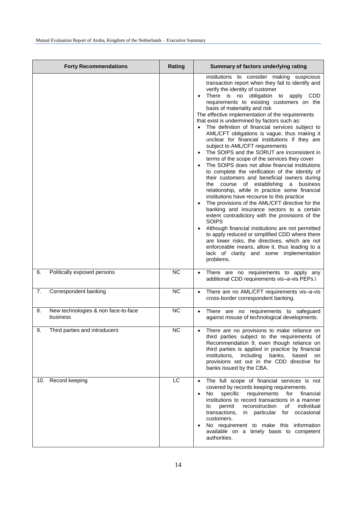| <b>Forty Recommendations</b>                          | Rating    | Summary of factors underlying rating                                                                                                                                                                                                                                                                                                                                                                                                                                                                                                                                                                                                                                                                                                                                                                                                                                                                                                                                                                                                                                                                                                                                                                                                                                                                                                                                                                                 |
|-------------------------------------------------------|-----------|----------------------------------------------------------------------------------------------------------------------------------------------------------------------------------------------------------------------------------------------------------------------------------------------------------------------------------------------------------------------------------------------------------------------------------------------------------------------------------------------------------------------------------------------------------------------------------------------------------------------------------------------------------------------------------------------------------------------------------------------------------------------------------------------------------------------------------------------------------------------------------------------------------------------------------------------------------------------------------------------------------------------------------------------------------------------------------------------------------------------------------------------------------------------------------------------------------------------------------------------------------------------------------------------------------------------------------------------------------------------------------------------------------------------|
|                                                       |           | institutions to consider making suspicious<br>transaction report when they fail to identify and<br>verify the identity of customer<br>There is no obligation to apply CDD<br>$\bullet$<br>requirements to existing customers on the<br>basis of materiality and risk<br>The effective implementation of the requirements<br>that exist is undermined by factors such as:<br>The definition of financial services subject to<br>AML/CFT obligations is vague, thus making it<br>unclear for financial institutions if they are<br>subject to AML/CFT requirements<br>The SOIPS and the SORUT are inconsistent in<br>terms of the scope of the services they cover<br>The SOIPS does not allow financial institutions<br>$\bullet$<br>to complete the verification of the identity of<br>their customers and beneficial owners during<br>the course of establishing a business<br>relationship, while in practice some financial<br>institutions have recourse to this practice<br>The provisions of the AML/CFT directive for the<br>banking and insurance sectors to a certain<br>extent contradictory with the provisions of the<br><b>SOIPS</b><br>Although financial institutions are not permitted<br>to apply reduced or simplified CDD where there<br>are lower risks, the directives, which are not<br>enforceable means, allow it, thus leading to a<br>lack of clarity and some implementation<br>problems. |
| Politically exposed persons<br>6.                     | <b>NC</b> | There are no requirements to apply any<br>$\bullet$<br>additional CDD requirements vis-a-vis PEPs.\                                                                                                                                                                                                                                                                                                                                                                                                                                                                                                                                                                                                                                                                                                                                                                                                                                                                                                                                                                                                                                                                                                                                                                                                                                                                                                                  |
| Correspondent banking<br>7.                           | <b>NC</b> | There are no AML/CFT requirements vis-a-vis<br>$\bullet$<br>cross-border correspondent banking.                                                                                                                                                                                                                                                                                                                                                                                                                                                                                                                                                                                                                                                                                                                                                                                                                                                                                                                                                                                                                                                                                                                                                                                                                                                                                                                      |
| New technologies & non face-to-face<br>8.<br>business | <b>NC</b> | There are no requirements to safeguard<br>$\bullet$<br>against misuse of technological developments.                                                                                                                                                                                                                                                                                                                                                                                                                                                                                                                                                                                                                                                                                                                                                                                                                                                                                                                                                                                                                                                                                                                                                                                                                                                                                                                 |
| 9.<br>Third parties and introducers                   | <b>NC</b> | There are no provisions to make reliance on<br>third parties subject to the requirements of<br>Recommendation 9, even though reliance on<br>third parties is applied in practice by financial<br>institutions,<br>including<br>banks,<br>based<br>on<br>provisions set out in the CDD directive for<br>banks issued by the CBA.                                                                                                                                                                                                                                                                                                                                                                                                                                                                                                                                                                                                                                                                                                                                                                                                                                                                                                                                                                                                                                                                                      |
| 10. Record keeping                                    | LC        | The full scope of financial services is not<br>$\bullet$<br>covered by records keeping requirements.<br>requirements<br>specific<br>for<br>financial<br>No<br>institutions to record transactions in a manner<br>reconstruction<br>individual<br>permit<br>of<br>to<br>occasional<br>transactions,<br>particular<br>for<br>in<br>customers.<br>No requirement to make this information<br>available on a timely basis to competent<br>authorities.                                                                                                                                                                                                                                                                                                                                                                                                                                                                                                                                                                                                                                                                                                                                                                                                                                                                                                                                                                   |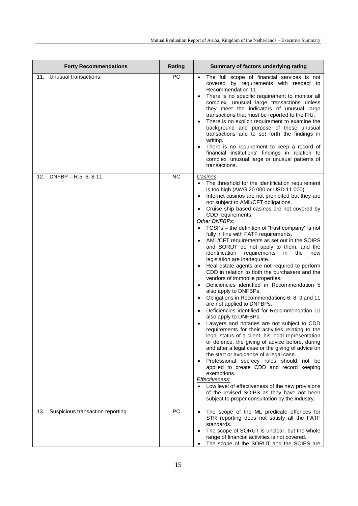| <b>Forty Recommendations</b>            | <b>Rating</b> | Summary of factors underlying rating                                                                                                                                                                                                                                                                                                                                                                                                                                                                                                                                                                                                                                                                                                                                                                                                                                                                                                                                                                                                                                                                                                                                                                                                                                                                                                                                                                                                                                                                                                                                            |
|-----------------------------------------|---------------|---------------------------------------------------------------------------------------------------------------------------------------------------------------------------------------------------------------------------------------------------------------------------------------------------------------------------------------------------------------------------------------------------------------------------------------------------------------------------------------------------------------------------------------------------------------------------------------------------------------------------------------------------------------------------------------------------------------------------------------------------------------------------------------------------------------------------------------------------------------------------------------------------------------------------------------------------------------------------------------------------------------------------------------------------------------------------------------------------------------------------------------------------------------------------------------------------------------------------------------------------------------------------------------------------------------------------------------------------------------------------------------------------------------------------------------------------------------------------------------------------------------------------------------------------------------------------------|
| Unusual transactions<br>11.             | PC            | The full scope of financial services is not<br>$\bullet$<br>covered by requirements with respect to<br>Recommendation 11.<br>There is no specific requirement to monitor all<br>complex, unusual large transactions unless<br>they meet the indicators of unusual large<br>transactions that must be reported to the FIU.<br>There is no explicit requirement to examine the<br>background and purpose of these unusual<br>transactions and to set forth the findings in<br>writing.<br>There is no requirement to keep a record of<br>$\bullet$<br>financial institutions' findings in relation to<br>complex, unusual large or unusual patterns of<br>transactions.                                                                                                                                                                                                                                                                                                                                                                                                                                                                                                                                                                                                                                                                                                                                                                                                                                                                                                           |
| DNFBP - R.5, 6, 8-11<br>12.             | <b>NC</b>     | Casinos:<br>The threshold for the identification requirement<br>$\bullet$<br>is too high (AWG 20 000 or USD 11 000).<br>Internet casinos are not prohibited but they are<br>not subject to AML/CFT obligations.<br>Cruise ship based casinos are not covered by<br>CDD requirements.<br>Other DNFBPs:<br>TCSPs - the definition of "trust company" is not<br>$\bullet$<br>fully in line with FATF requirements.<br>AML/CFT requirements as set out in the SOIPS<br>and SORUT do not apply to them, and the<br>identification<br>requirements<br>in<br>the<br>new<br>legislation are inadequate.<br>Real estate agents are not required to perform<br>CDD in relation to both the purchasers and the<br>vendors of immobile properties.<br>Deficiencies identified in Recommendation 5<br>$\bullet$<br>also apply to DNFBPs.<br>Obligations in Recommendations 6, 8, 9 and 11<br>are not applied to DNFBPs.<br>Deficiencies identified for Recommendation 10<br>also apply to DNFBPs.<br>Lawyers and notaries are not subject to CDD<br>requirements for their activities relating to the<br>legal status of a client, his legal representation<br>or defence, the giving of advice before, during<br>and after a legal case or the giving of advice on<br>the start or avoidance of a legal case.<br>Professional secrecy rules should not be<br>applied to create CDD and record keeping<br>exemptions.<br>Effectiveness:<br>Low level of effectiveness of the new provisions<br>of the revised SOIPS as they have not been<br>subject to proper consultation by the industry. |
| Suspicious transaction reporting<br>13. | <b>PC</b>     | The scope of the ML predicate offences for<br>$\bullet$<br>STR reporting does not satisfy all the FATF<br>standards.                                                                                                                                                                                                                                                                                                                                                                                                                                                                                                                                                                                                                                                                                                                                                                                                                                                                                                                                                                                                                                                                                                                                                                                                                                                                                                                                                                                                                                                            |
|                                         |               | The scope of SORUT is unclear, but the whole<br>range of financial activities is not covered.<br>The scope of the SORUT and the SOIPS are<br>$\bullet$                                                                                                                                                                                                                                                                                                                                                                                                                                                                                                                                                                                                                                                                                                                                                                                                                                                                                                                                                                                                                                                                                                                                                                                                                                                                                                                                                                                                                          |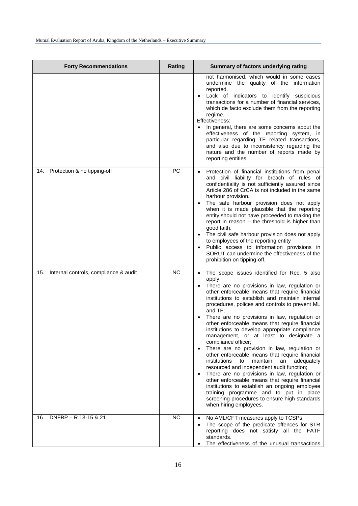| <b>Forty Recommendations</b>                 | Rating    | Summary of factors underlying rating                                                                                                                                                                                                                                                                                                                                                                                                                                                                                                                                                                                                                                                                                                                                                                                                                                                                                                                                                                                |
|----------------------------------------------|-----------|---------------------------------------------------------------------------------------------------------------------------------------------------------------------------------------------------------------------------------------------------------------------------------------------------------------------------------------------------------------------------------------------------------------------------------------------------------------------------------------------------------------------------------------------------------------------------------------------------------------------------------------------------------------------------------------------------------------------------------------------------------------------------------------------------------------------------------------------------------------------------------------------------------------------------------------------------------------------------------------------------------------------|
|                                              |           | not harmonised, which would in some cases<br>undermine the quality of the information<br>reported.<br>Lack of indicators to identify suspicious<br>transactions for a number of financial services,<br>which de facto exclude them from the reporting<br>regime.<br>Effectiveness:<br>In general, there are some concerns about the<br>effectiveness of the reporting system, in<br>particular regarding TF related transactions,<br>and also due to inconsistency regarding the<br>nature and the number of reports made by<br>reporting entities.                                                                                                                                                                                                                                                                                                                                                                                                                                                                 |
| 14. Protection & no tipping-off              | PC        | Protection of financial institutions from penal<br>and civil liability for breach of rules of<br>confidentiality is not sufficiently assured since<br>Article 286 of CrCA is not included in the same<br>harbour provision.<br>The safe harbour provision does not apply<br>when it is made plausible that the reporting<br>entity should not have proceeded to making the<br>report in reason - the threshold is higher than<br>good faith.<br>The civil safe harbour provision does not apply<br>to employees of the reporting entity<br>Public access to information provisions in<br>SORUT can undermine the effectiveness of the<br>prohibition on tipping-off.                                                                                                                                                                                                                                                                                                                                                |
| Internal controls, compliance & audit<br>15. | <b>NC</b> | The scope issues identified for Rec. 5 also<br>$\bullet$<br>apply.<br>There are no provisions in law, regulation or<br>other enforceable means that require financial<br>institutions to establish and maintain internal<br>procedures, polices and controls to prevent ML<br>and TF;<br>There are no provisions in law, regulation or<br>other enforceable means that require financial<br>institutions to develop appropriate compliance<br>management, or at least to designate a<br>compliance officer;<br>There are no provision in law, regulation or<br>$\bullet$<br>other enforceable means that require financial<br>institutions<br>maintain<br>adequately<br>to<br>an<br>resourced and independent audit function;<br>There are no provisions in law, regulation or<br>$\bullet$<br>other enforceable means that require financial<br>institutions to establish an ongoing employee<br>training programme and to put in place<br>screening procedures to ensure high standards<br>when hiring employees. |
| DNFBP - R.13-15 & 21<br>16.                  | <b>NC</b> | No AML/CFT measures apply to TCSPs.<br>$\bullet$<br>The scope of the predicate offences for STR<br>$\bullet$<br>reporting does not satisfy all the FATF<br>standards.<br>The effectiveness of the unusual transactions                                                                                                                                                                                                                                                                                                                                                                                                                                                                                                                                                                                                                                                                                                                                                                                              |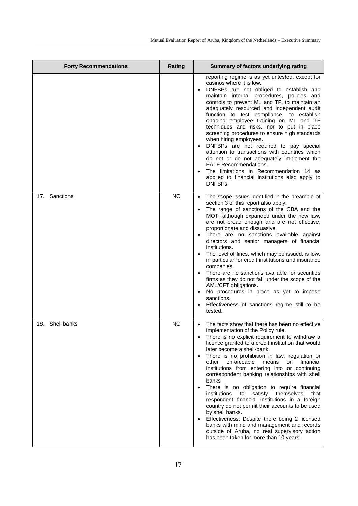| <b>Forty Recommendations</b> | Rating    | Summary of factors underlying rating                                                                                                                                                                                                                                                                                                                                                                                                                                                                                                                                                                                                                                                                                                                                                                                                                                                       |
|------------------------------|-----------|--------------------------------------------------------------------------------------------------------------------------------------------------------------------------------------------------------------------------------------------------------------------------------------------------------------------------------------------------------------------------------------------------------------------------------------------------------------------------------------------------------------------------------------------------------------------------------------------------------------------------------------------------------------------------------------------------------------------------------------------------------------------------------------------------------------------------------------------------------------------------------------------|
|                              |           | reporting regime is as yet untested, except for<br>casinos where it is low.<br>DNFBPs are not obliged to establish and<br>maintain internal procedures, policies and<br>controls to prevent ML and TF, to maintain an<br>adequately resourced and independent audit<br>function to test compliance, to establish<br>ongoing employee training on ML and TF<br>techniques and risks, nor to put in place<br>screening procedures to ensure high standards<br>when hiring employees.<br>DNFBPs are not required to pay special<br>attention to transactions with countries which<br>do not or do not adequately implement the<br>FATF Recommendations.<br>The limitations in Recommendation 14 as<br>applied to financial institutions also apply to<br>DNFBPs.                                                                                                                              |
| Sanctions<br>17.             | <b>NC</b> | The scope issues identified in the preamble of<br>section 3 of this report also apply.<br>The range of sanctions of the CBA and the<br>MOT, although expanded under the new law,<br>are not broad enough and are not effective,<br>proportionate and dissuasive.<br>There are no sanctions available against<br>$\bullet$<br>directors and senior managers of financial<br>institutions.<br>The level of fines, which may be issued, is low,<br>in particular for credit institutions and insurance<br>companies.<br>There are no sanctions available for securities<br>firms as they do not fall under the scope of the<br>AML/CFT obligations.<br>No procedures in place as yet to impose<br>$\bullet$<br>sanctions.<br>Effectiveness of sanctions regime still to be<br>tested.                                                                                                         |
| 18. Shell banks              | <b>NC</b> | The facts show that there has been no effective<br>$\bullet$<br>implementation of the Policy rule.<br>There is no explicit requirement to withdraw a<br>licence granted to a credit institution that would<br>later become a shell-bank.<br>There is no prohibition in law, regulation or<br>enforceable<br>other<br>means<br>on<br>financial<br>institutions from entering into or continuing<br>correspondent banking relationships with shell<br>banks<br>There is no obligation to require financial<br>to<br>satisfy themselves<br>institutions<br>that<br>respondent financial institutions in a foreign<br>country do not permit their accounts to be used<br>by shell banks.<br>Effectiveness: Despite there being 2 licensed<br>$\bullet$<br>banks with mind and management and records<br>outside of Aruba, no real supervisory action<br>has been taken for more than 10 years. |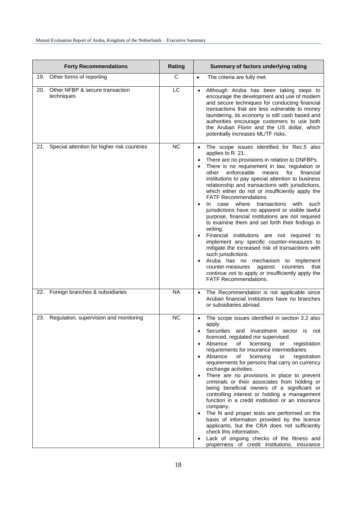| <b>Forty Recommendations</b>                         | Rating         | Summary of factors underlying rating                                                                                                                                                                                                                                                                                                                                                                                                                                                                                                                                                                                                                                                                                                                                                                                                                                                                                                                                                                                                 |
|------------------------------------------------------|----------------|--------------------------------------------------------------------------------------------------------------------------------------------------------------------------------------------------------------------------------------------------------------------------------------------------------------------------------------------------------------------------------------------------------------------------------------------------------------------------------------------------------------------------------------------------------------------------------------------------------------------------------------------------------------------------------------------------------------------------------------------------------------------------------------------------------------------------------------------------------------------------------------------------------------------------------------------------------------------------------------------------------------------------------------|
| 19.<br>Other forms of reporting                      | $\overline{C}$ | $\bullet$<br>The criteria are fully met.                                                                                                                                                                                                                                                                                                                                                                                                                                                                                                                                                                                                                                                                                                                                                                                                                                                                                                                                                                                             |
| Other NFBP & secure transaction<br>20.<br>techniques | LC             | Although Aruba has been taking steps to<br>$\bullet$<br>encourage the development and use of modern<br>and secure techniques for conducting financial<br>transactions that are less vulnerable to money<br>laundering, its economy is still cash based and<br>authorities encourage customers to use both<br>the Aruban Florin and the US dollar, which<br>potentially increases ML/TF risks.                                                                                                                                                                                                                                                                                                                                                                                                                                                                                                                                                                                                                                        |
| Special attention for higher risk countries<br>21.   | <b>NC</b>      | The scope issues identified for Rec.5 also<br>$\bullet$<br>applies to R. 21.<br>There are no provisions in relation to DNFBPs.<br>There is no requirement in law, regulation or<br>$\bullet$<br>other<br>enforceable<br>means<br>for<br>financial<br>institutions to pay special attention to business<br>relationship and transactions with jurisdictions,<br>which either do not or insufficiently apply the<br><b>FATF Recommendations.</b><br>where<br>transactions<br>with<br>In.<br>case<br>such<br>jurisdictions have no apparent or visible lawful<br>purpose, financial institutions are not required<br>to examine them and set forth their findings in<br>writing.<br>Financial institutions are not required to<br>implement any specific counter-measures to<br>mitigate the increased risk of transactions with<br>such jurisdictions.<br>Aruba has no mechanism to implement<br>against<br>countries<br>counter-measures<br>that<br>continue not to apply or insufficiently apply the<br><b>FATF Recommendations.</b> |
| Foreign branches & subsidiaries<br>22.               | <b>NA</b>      | The Recommendation is not applicable since<br>$\bullet$<br>Aruban financial institutions have no branches<br>or subsidiaries abroad.                                                                                                                                                                                                                                                                                                                                                                                                                                                                                                                                                                                                                                                                                                                                                                                                                                                                                                 |
| Regulation, supervision and monitoring<br>23.        | <b>NC</b>      | The scope issues identified in section 3.2 also<br>apply.<br>Securities and investment sector is not<br>licenced, regulated nor supervised.<br>Absence<br>of<br>licensing<br>or<br>registration<br>requirements for insurance intermediaries.<br>Absence<br>licensing<br>of<br>registration<br>or<br>requirements for persons that carry on currency<br>exchange activities.<br>There are no provisions in place to prevent<br>criminals or their associates from holding or<br>being beneficial owners of a significant or<br>controlling interest or holding a management<br>function in a credit institution or an insurance<br>company.<br>The fit and proper tests are performed on the<br>$\bullet$<br>basis of information provided by the licence<br>applicants, but the CBA does not sufficiently<br>check this information.<br>Lack of ongoing checks of the fitness and<br>properness of credit institutions, insurance                                                                                                   |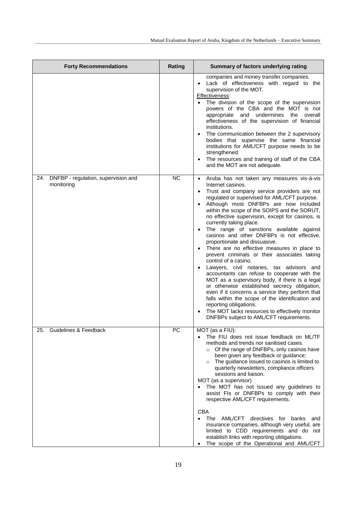| <b>Forty Recommendations</b>                          | Rating    | Summary of factors underlying rating                                                                                                                                                                                                                                                                                                                                                                                                                                                                                                                                                                                                                                                                                                                                                                                                                                                                                                                                                                                                 |
|-------------------------------------------------------|-----------|--------------------------------------------------------------------------------------------------------------------------------------------------------------------------------------------------------------------------------------------------------------------------------------------------------------------------------------------------------------------------------------------------------------------------------------------------------------------------------------------------------------------------------------------------------------------------------------------------------------------------------------------------------------------------------------------------------------------------------------------------------------------------------------------------------------------------------------------------------------------------------------------------------------------------------------------------------------------------------------------------------------------------------------|
|                                                       |           | companies and money transfer companies.<br>Lack of effectiveness with regard to the<br>$\bullet$<br>supervision of the MOT.<br>Effectiveness:<br>The division of the scope of the supervision<br>powers of the CBA and the MOT is not<br>appropriate and undermines the<br>overall<br>effectiveness of the supervision of financial<br>institutions.<br>The communication between the 2 supervisory<br>$\bullet$<br>bodies that supervise the same financial<br>institutions for AML/CFT purpose needs to be<br>strengthened.<br>The resources and training of staff of the CBA<br>and the MOT are not adequate.                                                                                                                                                                                                                                                                                                                                                                                                                     |
| 24. DNFBP - regulation, supervision and<br>monitoring | <b>NC</b> | Aruba has not taken any measures vis-à-vis<br>$\bullet$<br>Internet casinos.<br>• Trust and company service providers are not<br>regulated or supervised for AML/CFT purpose.<br>Although most DNFBPs are now included<br>within the scope of the SOIPS and the SORUT,<br>no effective supervision, except for casinos, is<br>currently taking place.<br>The range of sanctions available against<br>casinos and other DNFBPs is not effective,<br>proportionate and dissuasive.<br>There are no effective measures in place to<br>prevent criminals or their associates taking<br>control of a casino.<br>Lawyers, civil notaries, tax advisors and<br>accountants can refuse to cooperate with the<br>MOT as a supervisory body, if there is a legal<br>or otherwise established secrecy obligation,<br>even if it concerns a service they perform that<br>falls within the scope of the identification and<br>reporting obligations.<br>The MOT lacks resources to effectively monitor<br>DNFBPs subject to AML/CFT requirements. |
| 25.<br><b>Guidelines &amp; Feedback</b>               | РC        | MOT (as a FIU):<br>The FIU does not issue feedback on ML/TF<br>methods and trends nor sanitised cases.<br>Of the range of DNFBPs, only casinos have<br>$\circ$<br>been given any feedback or guidance;<br>$\circ$ The guidance issued to casinos is limited to<br>quarterly newsletters, compliance officers<br>sessions and liaison.<br>MOT (as a supervisor)<br>The MOT has not issued any guidelines to<br>assist FIs or DNFBPs to comply with their<br>respective AML/CFT requirements.<br><b>CBA</b><br>The AML/CFT directives for banks<br>and<br>insurance companies, although very useful, are<br>limited to CDD requirements and do not<br>establish links with reporting obligations.<br>The scope of the Operational and AML/CFT                                                                                                                                                                                                                                                                                          |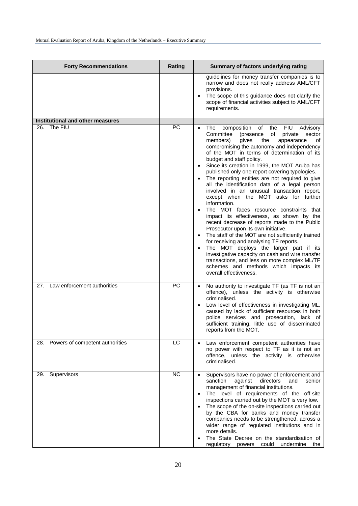| <b>Forty Recommendations</b>            | Rating    | Summary of factors underlying rating                                                                                                                                                                                                                                                                                                                                                                                                                                                                                                                                                                                                                                                                                                                                                                                                                                                                                                                                                                                                                                                                                      |
|-----------------------------------------|-----------|---------------------------------------------------------------------------------------------------------------------------------------------------------------------------------------------------------------------------------------------------------------------------------------------------------------------------------------------------------------------------------------------------------------------------------------------------------------------------------------------------------------------------------------------------------------------------------------------------------------------------------------------------------------------------------------------------------------------------------------------------------------------------------------------------------------------------------------------------------------------------------------------------------------------------------------------------------------------------------------------------------------------------------------------------------------------------------------------------------------------------|
|                                         |           | guidelines for money transfer companies is to<br>narrow and does not really address AML/CFT<br>provisions.<br>The scope of this guidance does not clarify the<br>scope of financial activities subject to AML/CFT<br>requirements.                                                                                                                                                                                                                                                                                                                                                                                                                                                                                                                                                                                                                                                                                                                                                                                                                                                                                        |
| <b>Institutional and other measures</b> |           |                                                                                                                                                                                                                                                                                                                                                                                                                                                                                                                                                                                                                                                                                                                                                                                                                                                                                                                                                                                                                                                                                                                           |
| 26. The FIU                             | <b>PC</b> | composition of the<br><b>FIU</b><br>The<br>Advisory<br>Committee<br>of<br>private<br>sector<br>(presence<br>members)<br>gives<br>the<br>appearance<br>οf<br>compromising the autonomy and independency<br>of the MOT in terms of determination of its<br>budget and staff policy.<br>Since its creation in 1999, the MOT Aruba has<br>published only one report covering typologies.<br>The reporting entities are not required to give<br>all the identification data of a legal person<br>involved in an unusual transaction report,<br>except when the MOT asks for further<br>information.<br>The MOT faces resource constraints that<br>impact its effectiveness, as shown by the<br>recent decrease of reports made to the Public<br>Prosecutor upon its own initiative.<br>The staff of the MOT are not sufficiently trained<br>$\bullet$<br>for receiving and analysing TF reports.<br>The MOT deploys the larger part if its<br>$\bullet$<br>investigative capacity on cash and wire transfer<br>transactions, and less on more complex ML/TF<br>schemes and methods which impacts its<br>overall effectiveness. |
| 27. Law enforcement authorities         | PC        | No authority to investigate TF (as TF is not an<br>$\bullet$<br>offence), unless the activity is otherwise<br>criminalised.<br>Low level of effectiveness in investigating ML,<br>٠<br>caused by lack of sufficient resources in both<br>police services and prosecution, lack of<br>sufficient training, little use of disseminated<br>reports from the MOT.                                                                                                                                                                                                                                                                                                                                                                                                                                                                                                                                                                                                                                                                                                                                                             |
| 28. Powers of competent authorities     | LC        | Law enforcement competent authorities have<br>no power with respect to TF as it is not an<br>offence, unless the activity is otherwise<br>criminalised.                                                                                                                                                                                                                                                                                                                                                                                                                                                                                                                                                                                                                                                                                                                                                                                                                                                                                                                                                                   |
| 29. Supervisors                         | <b>NC</b> | Supervisors have no power of enforcement and<br>$\bullet$<br>sanction<br>against<br>directors<br>senior<br>and<br>management of financial institutions.<br>The level of requirements of the off-site<br>$\bullet$<br>inspections carried out by the MOT is very low.<br>The scope of the on-site inspections carried out<br>$\bullet$<br>by the CBA for banks and money transfer<br>companies needs to be strengthened, across a<br>wider range of regulated institutions and in<br>more details.<br>The State Decree on the standardisation of<br>undermine<br>regulatory powers could<br>the                                                                                                                                                                                                                                                                                                                                                                                                                                                                                                                            |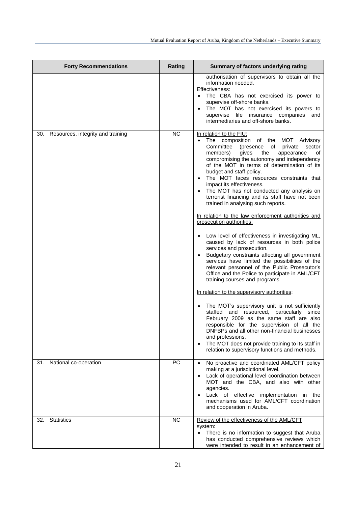| <b>Forty Recommendations</b>             | Rating    | Summary of factors underlying rating                                                                                                                                                                                                                                                                                                                                                                                                                                                                                                                                                                                                                                                                                                                                                                                                                                                                                                                                                                                                                                                                                                                                                                                                                                                                                                                                                                   |
|------------------------------------------|-----------|--------------------------------------------------------------------------------------------------------------------------------------------------------------------------------------------------------------------------------------------------------------------------------------------------------------------------------------------------------------------------------------------------------------------------------------------------------------------------------------------------------------------------------------------------------------------------------------------------------------------------------------------------------------------------------------------------------------------------------------------------------------------------------------------------------------------------------------------------------------------------------------------------------------------------------------------------------------------------------------------------------------------------------------------------------------------------------------------------------------------------------------------------------------------------------------------------------------------------------------------------------------------------------------------------------------------------------------------------------------------------------------------------------|
|                                          |           | authorisation of supervisors to obtain all the<br>information needed.<br>Effectiveness:<br>The CBA has not exercised its power to<br>supervise off-shore banks.<br>The MOT has not exercised its powers to<br>supervise life insurance companies<br>and<br>intermediaries and off-shore banks.                                                                                                                                                                                                                                                                                                                                                                                                                                                                                                                                                                                                                                                                                                                                                                                                                                                                                                                                                                                                                                                                                                         |
| Resources, integrity and training<br>30. | <b>NC</b> | In relation to the FIU:<br>The composition of the MOT Advisory<br>$\bullet$<br>Committee<br>(presence<br>of<br>private<br>sector<br>members)<br>the<br>gives<br>appearance<br>οf<br>compromising the autonomy and independency<br>of the MOT in terms of determination of its<br>budget and staff policy.<br>The MOT faces resources constraints that<br>impact its effectiveness.<br>The MOT has not conducted any analysis on<br>terrorist financing and its staff have not been<br>trained in analysing such reports.<br>In relation to the law enforcement authorities and<br>prosecution authorities:<br>Low level of effectiveness in investigating ML,<br>caused by lack of resources in both police<br>services and prosecution.<br>Budgetary constraints affecting all government<br>services have limited the possibilities of the<br>relevant personnel of the Public Prosecutor's<br>Office and the Police to participate in AML/CFT<br>training courses and programs.<br>In relation to the supervisory authorities:<br>The MOT's supervisory unit is not sufficiently<br>staffed and resourced, particularly since<br>February 2009 as the same staff are also<br>responsible for the supervision of all the<br>DNFBPs and all other non-financial businesses<br>and professions.<br>The MOT does not provide training to its staff in<br>relation to supervisory functions and methods. |
| 31. National co-operation                | PC        | No proactive and coordinated AML/CFT policy<br>making at a jurisdictional level.<br>Lack of operational level coordination between<br>MOT and the CBA, and also with other<br>agencies.<br>Lack of effective implementation<br>in the<br>mechanisms used for AML/CFT coordination<br>and cooperation in Aruba.                                                                                                                                                                                                                                                                                                                                                                                                                                                                                                                                                                                                                                                                                                                                                                                                                                                                                                                                                                                                                                                                                         |
| <b>Statistics</b><br>32.                 | <b>NC</b> | Review of the effectiveness of the AML/CFT<br>system:<br>There is no information to suggest that Aruba<br>has conducted comprehensive reviews which<br>were intended to result in an enhancement of                                                                                                                                                                                                                                                                                                                                                                                                                                                                                                                                                                                                                                                                                                                                                                                                                                                                                                                                                                                                                                                                                                                                                                                                    |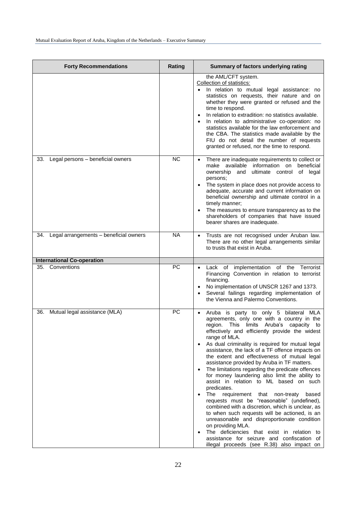| <b>Forty Recommendations</b>                         | Rating    | Summary of factors underlying rating                                                                                                                                                                                                                                                                                                                                                                                                                                                                                                                                                                                                                                                                                                                                                                                                                                                                                                                                                                                                                     |
|------------------------------------------------------|-----------|----------------------------------------------------------------------------------------------------------------------------------------------------------------------------------------------------------------------------------------------------------------------------------------------------------------------------------------------------------------------------------------------------------------------------------------------------------------------------------------------------------------------------------------------------------------------------------------------------------------------------------------------------------------------------------------------------------------------------------------------------------------------------------------------------------------------------------------------------------------------------------------------------------------------------------------------------------------------------------------------------------------------------------------------------------|
|                                                      |           | the AML/CFT system.<br>Collection of statistics:<br>In relation to mutual legal assistance: no<br>statistics on requests, their nature and on<br>whether they were granted or refused and the<br>time to respond.<br>In relation to extradition: no statistics available.<br>$\bullet$<br>In relation to administrative co-operation: no<br>statistics available for the law enforcement and<br>the CBA. The statistics made available by the<br>FIU do not detail the number of requests<br>granted or refused, nor the time to respond.                                                                                                                                                                                                                                                                                                                                                                                                                                                                                                                |
| 33. Legal persons - beneficial owners                | <b>NC</b> | There are inadequate requirements to collect or<br>$\bullet$<br>make available information on<br>beneficial<br>ownership<br>ultimate control of legal<br>and<br>persons;<br>The system in place does not provide access to<br>$\bullet$<br>adequate, accurate and current information on<br>beneficial ownership and ultimate control in a<br>timely manner;<br>The measures to ensure transparency as to the<br>$\bullet$<br>shareholders of companies that have issued<br>bearer shares are inadequate.                                                                                                                                                                                                                                                                                                                                                                                                                                                                                                                                                |
| 34. Legal arrangements - beneficial owners           | <b>NA</b> | Trusts are not recognised under Aruban law.<br>There are no other legal arrangements similar<br>to trusts that exist in Aruba.                                                                                                                                                                                                                                                                                                                                                                                                                                                                                                                                                                                                                                                                                                                                                                                                                                                                                                                           |
|                                                      |           |                                                                                                                                                                                                                                                                                                                                                                                                                                                                                                                                                                                                                                                                                                                                                                                                                                                                                                                                                                                                                                                          |
| <b>International Co-operation</b><br>35. Conventions | PC        | Lack of implementation of the Terrorist<br>Financing Convention in relation to terrorist<br>financing.<br>No implementation of UNSCR 1267 and 1373.<br>$\bullet$<br>Several failings regarding implementation of<br>the Vienna and Palermo Conventions.                                                                                                                                                                                                                                                                                                                                                                                                                                                                                                                                                                                                                                                                                                                                                                                                  |
| 36. Mutual legal assistance (MLA)                    | PC        | Aruba is party to only 5 bilateral MLA<br>$\bullet$<br>agreements, only one with a country in the<br>region. This limits Aruba's capacity to<br>effectively and efficiently provide the widest<br>range of MLA.<br>As dual criminality is required for mutual legal<br>$\bullet$<br>assistance, the lack of a TF offence impacts on<br>the extent and effectiveness of mutual legal<br>assistance provided by Aruba in TF matters.<br>The limitations regarding the predicate offences<br>$\bullet$<br>for money laundering also limit the ability to<br>assist in relation to ML based on such<br>predicates.<br>The<br>requirement that non-treaty<br>based<br>$\bullet$<br>requests must be "reasonable" (undefined),<br>combined with a discretion, which is unclear, as<br>to when such requests will be actioned, is an<br>unreasonable and disproportionate condition<br>on providing MLA.<br>The deficiencies that exist in relation to<br>$\bullet$<br>assistance for seizure and confiscation of<br>illegal proceeds (see R.38) also impact on |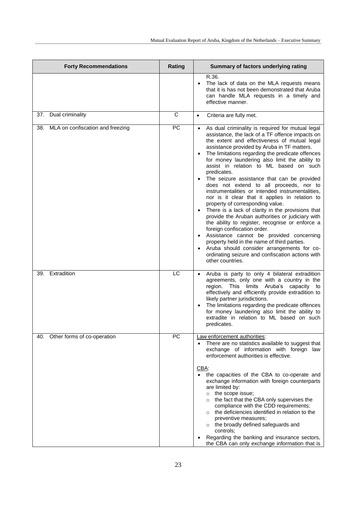| <b>Forty Recommendations</b>         | Rating | Summary of factors underlying rating                                                                                                                                                                                                                                                                                                                                                                                                                                                                                                                                                                                                                                                                                                                                                                                                                                                                                                                                                                                           |
|--------------------------------------|--------|--------------------------------------------------------------------------------------------------------------------------------------------------------------------------------------------------------------------------------------------------------------------------------------------------------------------------------------------------------------------------------------------------------------------------------------------------------------------------------------------------------------------------------------------------------------------------------------------------------------------------------------------------------------------------------------------------------------------------------------------------------------------------------------------------------------------------------------------------------------------------------------------------------------------------------------------------------------------------------------------------------------------------------|
|                                      |        | R.36.<br>The lack of data on the MLA requests means<br>$\bullet$<br>that it is has not been demonstrated that Aruba<br>can handle MLA requests in a timely and<br>effective manner.                                                                                                                                                                                                                                                                                                                                                                                                                                                                                                                                                                                                                                                                                                                                                                                                                                            |
| 37. Dual criminality                 | C      | Criteria are fully met.<br>$\bullet$                                                                                                                                                                                                                                                                                                                                                                                                                                                                                                                                                                                                                                                                                                                                                                                                                                                                                                                                                                                           |
| 38. MLA on confiscation and freezing | PC     | As dual criminality is required for mutual legal<br>assistance, the lack of a TF offence impacts on<br>the extent and effectiveness of mutual legal<br>assistance provided by Aruba in TF matters.<br>The limitations regarding the predicate offences<br>for money laundering also limit the ability to<br>assist in relation to ML based on such<br>predicates.<br>The seizure assistance that can be provided<br>does not extend to all proceeds, nor to<br>instrumentalities or intended instrumentalities,<br>nor is it clear that it applies in relation to<br>property of corresponding value.<br>There is a lack of clarity in the provisions that<br>provide the Aruban authorities or judiciary with<br>the ability to register, recognise or enforce a<br>foreign confiscation order.<br>Assistance cannot be provided concerning<br>property held in the name of third parties.<br>Aruba should consider arrangements for co-<br>$\bullet$<br>ordinating seizure and confiscation actions with<br>other countries. |
| 39. Extradition                      | LC     | Aruba is party to only 4 bilateral extradition<br>$\bullet$<br>agreements, only one with a country in the<br>region. This limits Aruba's capacity to<br>effectively and efficiently provide extradition to<br>likely partner jurisdictions.<br>The limitations regarding the predicate offences<br>for money laundering also limit the ability to<br>extradite in relation to ML based on such<br>predicates.                                                                                                                                                                                                                                                                                                                                                                                                                                                                                                                                                                                                                  |
| 40. Other forms of co-operation      | PC     | Law enforcement authorities:<br>There are no statistics available to suggest that<br>$\bullet$<br>exchange of information with foreign law<br>enforcement authorities is effective.<br>CBA:<br>the capacities of the CBA to co-operate and<br>exchange information with foreign counterparts<br>are limited by:<br>$\circ$ the scope issue;<br>the fact that the CBA only supervises the<br>$\circ$<br>compliance with the CDD requirements;<br>o the deficiencies identified in relation to the<br>preventive measures;<br>o the broadly defined safeguards and<br>controls;<br>Regarding the banking and insurance sectors,<br>the CBA can only exchange information that is                                                                                                                                                                                                                                                                                                                                                 |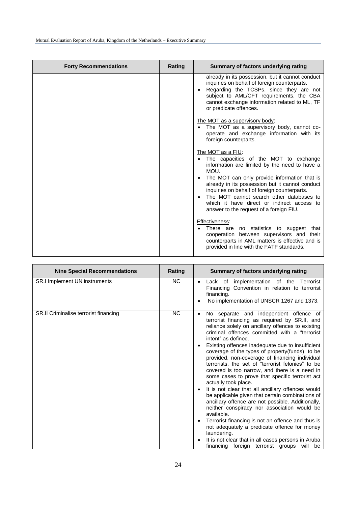| <b>Forty Recommendations</b> | <b>Rating</b> | Summary of factors underlying rating                                                                                                                                                                                                                                                 |
|------------------------------|---------------|--------------------------------------------------------------------------------------------------------------------------------------------------------------------------------------------------------------------------------------------------------------------------------------|
|                              |               | already in its possession, but it cannot conduct<br>inquiries on behalf of foreign counterparts.<br>Regarding the TCSPs, since they are not<br>subject to AML/CFT requirements, the CBA<br>cannot exchange information related to ML, TF<br>or predicate offences.                   |
|                              |               | The MOT as a supervisory body:<br>The MOT as a supervisory body, cannot co-<br>operate and exchange information with its<br>foreign counterparts.                                                                                                                                    |
|                              |               | The MOT as a FIU:<br>The capacities of the MOT to exchange<br>information are limited by the need to have a<br>MOU.                                                                                                                                                                  |
|                              |               | The MOT can only provide information that is<br>already in its possession but it cannot conduct<br>inquiries on behalf of foreign counterparts.<br>The MOT cannot search other databases to<br>which it have direct or indirect access to<br>answer to the request of a foreign FIU. |
|                              |               | Effectiveness:<br>There are no statistics to suggest<br>that<br>cooperation between supervisors and their<br>counterparts in AML matters is effective and is<br>provided in line with the FATF standards.                                                                            |

| <b>Nine Special Recommendations</b>   | Rating    | Summary of factors underlying rating                                                                                                                                                                                                                                                                                                                                                                                                                                                                                                                                                                                                                                                                                                                                                                                                                                                                                                                                                                              |
|---------------------------------------|-----------|-------------------------------------------------------------------------------------------------------------------------------------------------------------------------------------------------------------------------------------------------------------------------------------------------------------------------------------------------------------------------------------------------------------------------------------------------------------------------------------------------------------------------------------------------------------------------------------------------------------------------------------------------------------------------------------------------------------------------------------------------------------------------------------------------------------------------------------------------------------------------------------------------------------------------------------------------------------------------------------------------------------------|
| <b>SR.I Implement UN instruments</b>  | <b>NC</b> | Lack of implementation of the Terrorist<br>Financing Convention in relation to terrorist<br>financing.<br>No implementation of UNSCR 1267 and 1373.                                                                                                                                                                                                                                                                                                                                                                                                                                                                                                                                                                                                                                                                                                                                                                                                                                                               |
| SR.II Criminalise terrorist financing | <b>NC</b> | No separate and independent offence of<br>terrorist financing as required by SR.II, and<br>reliance solely on ancillary offences to existing<br>criminal offences committed with a "terrorist"<br>intent" as defined.<br>Existing offences inadequate due to insufficient<br>coverage of the types of property(funds) to be<br>provided, non-coverage of financing individual<br>terrorists, the set of "terrorist felonies" to be<br>covered is too narrow, and there is a need in<br>some cases to prove that specific terrorist act<br>actually took place.<br>It is not clear that all ancillary offences would<br>be applicable given that certain combinations of<br>ancillary offence are not possible. Additionally,<br>neither conspiracy nor association would be<br>available.<br>Terrorist financing is not an offence and thus is<br>not adequately a predicate offence for money<br>laundering.<br>It is not clear that in all cases persons in Aruba<br>financing foreign terrorist groups will be |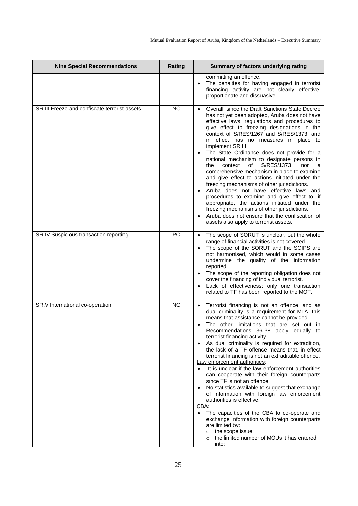| <b>Nine Special Recommendations</b>           | Rating | Summary of factors underlying rating                                                                                                                                                                                                                                                                                                                                                                                                                                                                                                                                                                                                                                                                                                                                                                                                                                                                                                                                    |
|-----------------------------------------------|--------|-------------------------------------------------------------------------------------------------------------------------------------------------------------------------------------------------------------------------------------------------------------------------------------------------------------------------------------------------------------------------------------------------------------------------------------------------------------------------------------------------------------------------------------------------------------------------------------------------------------------------------------------------------------------------------------------------------------------------------------------------------------------------------------------------------------------------------------------------------------------------------------------------------------------------------------------------------------------------|
|                                               |        | committing an offence.<br>The penalties for having engaged in terrorist<br>financing activity are not clearly effective,<br>proportionate and dissuasive.                                                                                                                                                                                                                                                                                                                                                                                                                                                                                                                                                                                                                                                                                                                                                                                                               |
| SR.III Freeze and confiscate terrorist assets | NC     | Overall, since the Draft Sanctions State Decree<br>has not yet been adopted, Aruba does not have<br>effective laws, regulations and procedures to<br>give effect to freezing designations in the<br>context of S/RES/1267 and S/RES/1373, and<br>in effect has no measures in place to<br>implement SR.III.<br>The State Ordinance does not provide for a<br>national mechanism to designate persons in<br>S/RES/1373,<br>context<br>of<br>the<br>nor<br>a<br>comprehensive mechanism in place to examine<br>and give effect to actions initiated under the<br>freezing mechanisms of other jurisdictions.<br>Aruba does not have effective laws and<br>procedures to examine and give effect to, if<br>appropriate, the actions initiated under the<br>freezing mechanisms of other jurisdictions.<br>Aruba does not ensure that the confiscation of<br>assets also apply to terrorist assets.                                                                         |
| SR.IV Suspicious transaction reporting        | PC     | The scope of SORUT is unclear, but the whole<br>$\bullet$<br>range of financial activities is not covered.<br>The scope of the SORUT and the SOIPS are<br>not harmonised, which would in some cases<br>undermine the quality of the information<br>reported.<br>The scope of the reporting obligation does not<br>cover the financing of individual terrorist.<br>Lack of effectiveness: only one transaction<br>related to TF has been reported to the MOT.                                                                                                                                                                                                                                                                                                                                                                                                                                                                                                            |
| SR.V International co-operation               | NC     | • Terrorist financing is not an offence, and as<br>dual criminality is a requirement for MLA, this<br>means that assistance cannot be provided.<br>The other limitations that are set out in<br>Recommendations 36-38 apply equally to<br>terrorist financing activity.<br>As dual criminality is required for extradition,<br>the lack of a TF offence means that, in effect<br>terrorist financing is not an extraditable offence.<br>Law enforcement authorities:<br>It is unclear if the law enforcement authorities<br>can cooperate with their foreign counterparts<br>since TF is not an offence.<br>No statistics available to suggest that exchange<br>of information with foreign law enforcement<br>authorities is effective.<br>$CBA$ :<br>The capacities of the CBA to co-operate and<br>exchange information with foreign counterparts<br>are limited by:<br>the scope issue;<br>$\circ$<br>the limited number of MOUs it has entered<br>$\circ$<br>into; |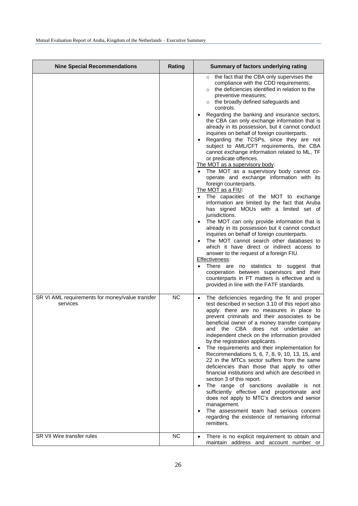| <b>Nine Special Recommendations</b>                         | Rating    | Summary of factors underlying rating                                                                                                                                                                                                                                                                                                                                                                                                                                                                                                                                                                                                                                                                                                                                                                                                                                                                                                                                                                                                                                                                                                                                                                                                                                                                                                                                                                                                         |
|-------------------------------------------------------------|-----------|----------------------------------------------------------------------------------------------------------------------------------------------------------------------------------------------------------------------------------------------------------------------------------------------------------------------------------------------------------------------------------------------------------------------------------------------------------------------------------------------------------------------------------------------------------------------------------------------------------------------------------------------------------------------------------------------------------------------------------------------------------------------------------------------------------------------------------------------------------------------------------------------------------------------------------------------------------------------------------------------------------------------------------------------------------------------------------------------------------------------------------------------------------------------------------------------------------------------------------------------------------------------------------------------------------------------------------------------------------------------------------------------------------------------------------------------|
|                                                             |           | the fact that the CBA only supervises the<br>$\circ$<br>compliance with the CDD requirements;<br>the deficiencies identified in relation to the<br>preventive measures;<br>the broadly defined safeguards and<br>$\circ$<br>controls.<br>Regarding the banking and insurance sectors,<br>the CBA can only exchange information that is<br>already in its possession, but it cannot conduct<br>inquiries on behalf of foreign counterparts.<br>Regarding the TCSPs, since they are not<br>subject to AML/CFT requirements, the CBA<br>cannot exchange information related to ML, TF<br>or predicate offences.<br>The MOT as a supervisory body:<br>The MOT as a supervisory body cannot co-<br>operate and exchange information with its<br>foreign counterparts.<br>The MOT as a FIU:<br>The capacities of the MOT to exchange<br>information are limited by the fact that Aruba<br>has signed MOUs with a limited set of<br>jurisdictions.<br>The MOT can only provide information that is<br>already in its possession but it cannot conduct<br>inquiries on behalf of foreign counterparts.<br>The MOT cannot search other databases to<br>which it have direct or indirect access to<br>answer to the request of a foreign FIU.<br>Effectiveness:<br>There are no statistics to suggest that<br>cooperation between supervisors and their<br>counterparts in FT matters is effective and is<br>provided in line with the FATF standards. |
| SR VI AML requirements for money/value transfer<br>services | <b>NC</b> | The deficiencies regarding the fit and proper<br>$\bullet$<br>test described in section 3.10 of this report also<br>apply: there are no measures in place to<br>prevent criminals and their associates to be<br>beneficial owner of a money transfer company<br>and the CBA does not undertake an<br>independent check on the information provided<br>by the registration applicants.<br>The requirements and their implementation for<br>Recommendations 5, 6, 7, 8, 9, 10, 13, 15, and<br>22 in the MTCs sector suffers from the same<br>deficiencies than those that apply to other<br>financial institutions and which are described in<br>section 3 of this report.<br>The range of sanctions available is not<br>sufficiently effective and proportionate and<br>does not apply to MTC's directors and senior<br>management.<br>The assessment team had serious concern<br>$\bullet$<br>regarding the existence of remaining informal<br>remitters.                                                                                                                                                                                                                                                                                                                                                                                                                                                                                    |
| SR VII Wire transfer rules                                  | NC        | There is no explicit requirement to obtain and<br>$\bullet$<br>maintain address and account number or                                                                                                                                                                                                                                                                                                                                                                                                                                                                                                                                                                                                                                                                                                                                                                                                                                                                                                                                                                                                                                                                                                                                                                                                                                                                                                                                        |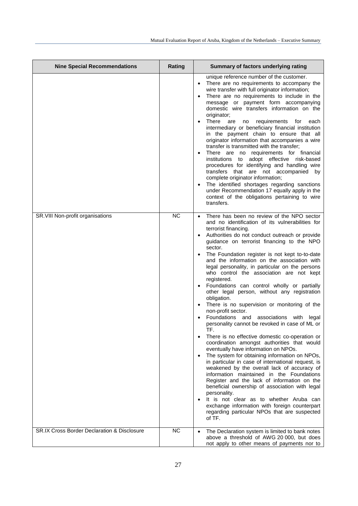| <b>Nine Special Recommendations</b>                    | Rating    | Summary of factors underlying rating                                                                                                                                                                                                                                                                                                                                                                                                                                                                                                                                                                                                                                                                                                                                                                                                                                                                                                                                                                                                                                                                                                                                                                                                                                                                                                                                        |
|--------------------------------------------------------|-----------|-----------------------------------------------------------------------------------------------------------------------------------------------------------------------------------------------------------------------------------------------------------------------------------------------------------------------------------------------------------------------------------------------------------------------------------------------------------------------------------------------------------------------------------------------------------------------------------------------------------------------------------------------------------------------------------------------------------------------------------------------------------------------------------------------------------------------------------------------------------------------------------------------------------------------------------------------------------------------------------------------------------------------------------------------------------------------------------------------------------------------------------------------------------------------------------------------------------------------------------------------------------------------------------------------------------------------------------------------------------------------------|
|                                                        |           | unique reference number of the customer.<br>There are no requirements to accompany the<br>wire transfer with full originator information;<br>There are no requirements to include in the<br>message or payment form accompanying<br>domestic wire transfers information on the<br>originator;<br>There are<br>no requirements for each<br>intermediary or beneficiary financial institution<br>in the payment chain to ensure that all<br>originator information that accompanies a wire<br>transfer is transmitted with the transfer;<br>There are no requirements for financial<br>institutions to adopt effective risk-based<br>procedures for identifying and handling wire<br>transfers that are not accompanied by<br>complete originator information;<br>The identified shortages regarding sanctions<br>under Recommendation 17 equally apply in the<br>context of the obligations pertaining to wire<br>transfers.                                                                                                                                                                                                                                                                                                                                                                                                                                                 |
| SR.VIII Non-profit organisations                       | <b>NC</b> | There has been no review of the NPO sector<br>and no identification of its vulnerabilities for<br>terrorist financing.<br>Authorities do not conduct outreach or provide<br>guidance on terrorist financing to the NPO<br>sector.<br>The Foundation register is not kept to-to-date<br>and the information on the association with<br>legal personality, in particular on the persons<br>who control the association are not kept<br>registered.<br>Foundations can control wholly or partially<br>other legal person, without any registration<br>obligation.<br>There is no supervision or monitoring of the<br>non-profit sector.<br>Foundations and associations with<br>legal<br>personality cannot be revoked in case of ML or<br>TF.<br>There is no effective domestic co-operation or<br>coordination amongst authorities that would<br>eventually have information on NPOs.<br>The system for obtaining information on NPOs,<br>in particular in case of international request, is<br>weakened by the overall lack of accuracy of<br>information maintained in the Foundations<br>Register and the lack of information on the<br>beneficial ownership of association with legal<br>personality.<br>It is not clear as to whether Aruba can<br>$\bullet$<br>exchange information with foreign counterpart<br>regarding particular NPOs that are suspected<br>of TF. |
| <b>SR.IX Cross Border Declaration &amp; Disclosure</b> | <b>NC</b> | The Declaration system is limited to bank notes<br>above a threshold of AWG 20 000, but does<br>not apply to other means of payments nor to                                                                                                                                                                                                                                                                                                                                                                                                                                                                                                                                                                                                                                                                                                                                                                                                                                                                                                                                                                                                                                                                                                                                                                                                                                 |